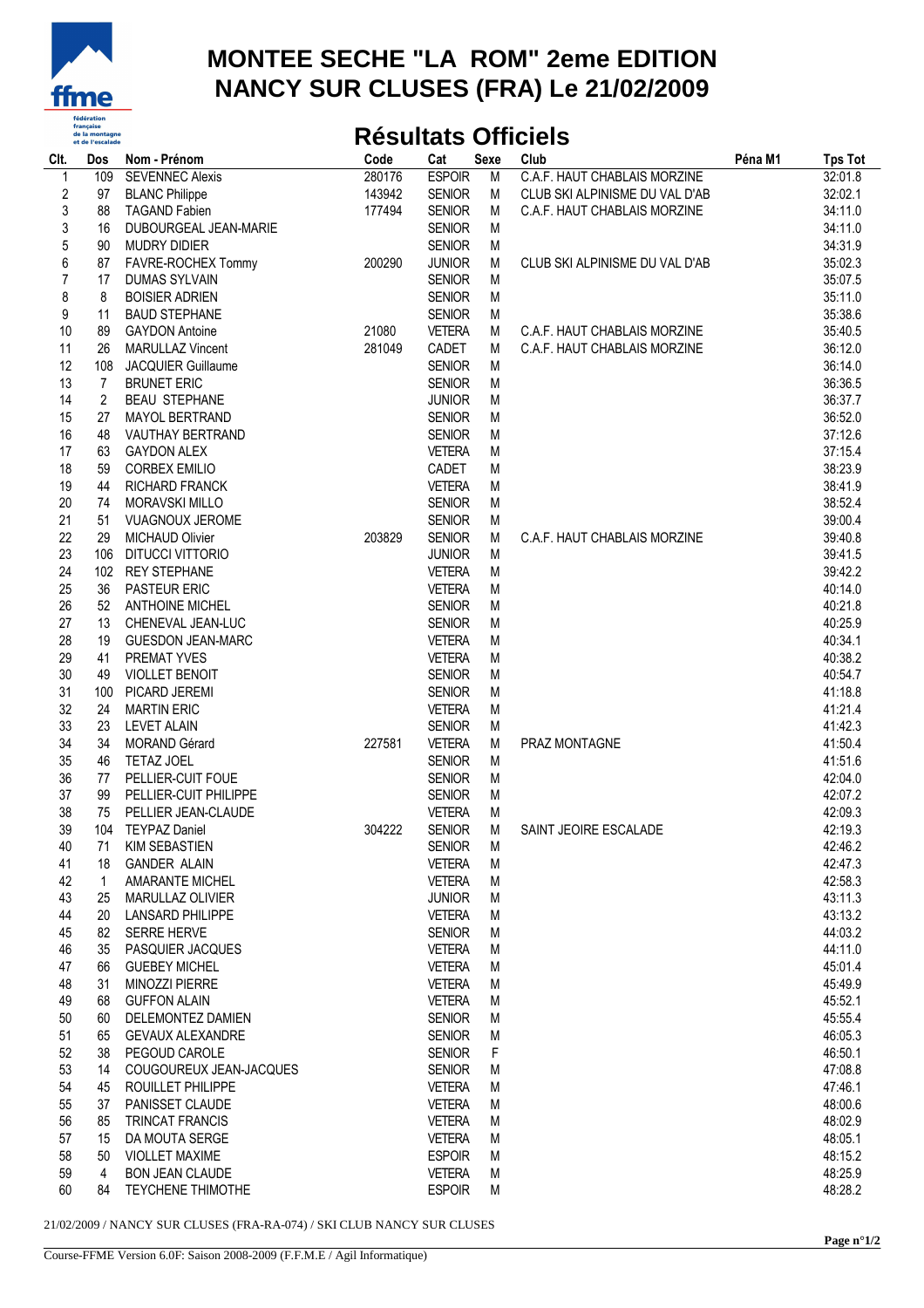

## **MONTEE SECHE "LA ROM" 2eme EDITION NANCY SUR CLUSES (FRA) Le 21/02/2009**

## **Résultats Officiels**

| Clt.             | Dos         | Nom - Prénom              | Code   | Cat           | Sexe | Club                           | Péna M1 | <b>Tps Tot</b> |
|------------------|-------------|---------------------------|--------|---------------|------|--------------------------------|---------|----------------|
|                  | 109         | <b>SEVENNEC Alexis</b>    | 280176 | <b>ESPOIR</b> | M    | C.A.F. HAUT CHABLAIS MORZINE   |         | 32:01.8        |
| $\boldsymbol{2}$ | 97          | <b>BLANC Philippe</b>     | 143942 | <b>SENIOR</b> | M    | CLUB SKI ALPINISME DU VAL D'AB |         | 32:02.1        |
| 3                | 88          | <b>TAGAND Fabien</b>      | 177494 | <b>SENIOR</b> | М    | C.A.F. HAUT CHABLAIS MORZINE   |         | 34:11.0        |
| 3                | 16          | DUBOURGEAL JEAN-MARIE     |        | <b>SENIOR</b> | M    |                                |         | 34:11.0        |
| 5                | 90          | <b>MUDRY DIDIER</b>       |        | <b>SENIOR</b> | М    |                                |         | 34:31.9        |
| 6                | 87          | FAVRE-ROCHEX Tommy        | 200290 | <b>JUNIOR</b> | M    | CLUB SKI ALPINISME DU VAL D'AB |         | 35:02.3        |
| $\overline{7}$   | 17          | <b>DUMAS SYLVAIN</b>      |        | <b>SENIOR</b> | М    |                                |         | 35:07.5        |
|                  |             |                           |        |               |      |                                |         |                |
| 8                | 8           | <b>BOISIER ADRIEN</b>     |        | <b>SENIOR</b> | M    |                                |         | 35:11.0        |
| 9                | 11          | <b>BAUD STEPHANE</b>      |        | <b>SENIOR</b> | M    |                                |         | 35:38.6        |
| 10               | 89          | <b>GAYDON Antoine</b>     | 21080  | <b>VETERA</b> | M    | C.A.F. HAUT CHABLAIS MORZINE   |         | 35:40.5        |
| 11               | 26          | <b>MARULLAZ Vincent</b>   | 281049 | CADET         | М    | C.A.F. HAUT CHABLAIS MORZINE   |         | 36:12.0        |
| 12               | 108         | <b>JACQUIER Guillaume</b> |        | <b>SENIOR</b> | М    |                                |         | 36:14.0        |
| 13               | 7           | <b>BRUNET ERIC</b>        |        | <b>SENIOR</b> | M    |                                |         | 36:36.5        |
| 14               | 2           | <b>BEAU STEPHANE</b>      |        | <b>JUNIOR</b> | M    |                                |         | 36:37.7        |
| 15               | 27          | MAYOL BERTRAND            |        | <b>SENIOR</b> | M    |                                |         | 36:52.0        |
| 16               | 48          | VAUTHAY BERTRAND          |        | <b>SENIOR</b> | M    |                                |         | 37:12.6        |
| 17               | 63          | <b>GAYDON ALEX</b>        |        | <b>VETERA</b> | M    |                                |         | 37:15.4        |
| 18               | 59          | <b>CORBEX EMILIO</b>      |        | CADET         | M    |                                |         | 38:23.9        |
| 19               | 44          | RICHARD FRANCK            |        | <b>VETERA</b> | M    |                                |         | 38:41.9        |
| 20               | 74          | <b>MORAVSKI MILLO</b>     |        | <b>SENIOR</b> | M    |                                |         | 38:52.4        |
| 21               | 51          | <b>VUAGNOUX JEROME</b>    |        | <b>SENIOR</b> | M    |                                |         | 39:00.4        |
| 22               | 29          | <b>MICHAUD Olivier</b>    | 203829 | <b>SENIOR</b> | М    | C.A.F. HAUT CHABLAIS MORZINE   |         | 39:40.8        |
| 23               | 106         | DITUCCI VITTORIO          |        | <b>JUNIOR</b> |      |                                |         | 39:41.5        |
|                  |             |                           |        |               | M    |                                |         |                |
| 24               | 102         | <b>REY STEPHANE</b>       |        | <b>VETERA</b> | M    |                                |         | 39:42.2        |
| 25               | 36          | <b>PASTEUR ERIC</b>       |        | <b>VETERA</b> | M    |                                |         | 40:14.0        |
| 26               | 52          | <b>ANTHOINE MICHEL</b>    |        | <b>SENIOR</b> | M    |                                |         | 40:21.8        |
| 27               | 13          | CHENEVAL JEAN-LUC         |        | <b>SENIOR</b> | M    |                                |         | 40:25.9        |
| 28               | 19          | <b>GUESDON JEAN-MARC</b>  |        | <b>VETERA</b> | M    |                                |         | 40:34.1        |
| 29               | 41          | PREMAT YVES               |        | <b>VETERA</b> | M    |                                |         | 40:38.2        |
| 30               | 49          | <b>VIOLLET BENOIT</b>     |        | <b>SENIOR</b> | M    |                                |         | 40:54.7        |
| 31               | 100         | PICARD JEREMI             |        | <b>SENIOR</b> | M    |                                |         | 41:18.8        |
| 32               | 24          | <b>MARTIN ERIC</b>        |        | <b>VETERA</b> | M    |                                |         | 41:21.4        |
| 33               | 23          | <b>LEVET ALAIN</b>        |        | <b>SENIOR</b> | M    |                                |         | 41:42.3        |
| 34               | 34          | <b>MORAND Gérard</b>      | 227581 | <b>VETERA</b> | M    | PRAZ MONTAGNE                  |         | 41:50.4        |
| 35               | 46          | TETAZ JOEL                |        | <b>SENIOR</b> | M    |                                |         | 41:51.6        |
| 36               | 77          | PELLIER-CUIT FOUE         |        | <b>SENIOR</b> | M    |                                |         | 42:04.0        |
| 37               | 99          | PELLIER-CUIT PHILIPPE     |        | <b>SENIOR</b> | M    |                                |         | 42:07.2        |
| 38               | 75          | PELLIER JEAN-CLAUDE       |        | <b>VETERA</b> | M    |                                |         | 42:09.3        |
| 39               |             | 104 TEYPAZ Daniel         | 304222 | <b>SENIOR</b> | М    | SAINT JEOIRE ESCALADE          |         | 42:19.3        |
| 40               |             | 71 KIM SEBASTIEN          |        | <b>SENIOR</b> | M    |                                |         | 42:46.2        |
| 41               | 18          | <b>GANDER ALAIN</b>       |        | <b>VETERA</b> | M    |                                |         | 42:47.3        |
| 42               | $\mathbf 1$ | <b>AMARANTE MICHEL</b>    |        | <b>VETERA</b> | M    |                                |         | 42:58.3        |
| 43               | 25          | MARULLAZ OLIVIER          |        | <b>JUNIOR</b> | M    |                                |         | 43:11.3        |
| 44               |             | <b>LANSARD PHILIPPE</b>   |        |               |      |                                |         |                |
|                  | 20          |                           |        | <b>VETERA</b> | M    |                                |         | 43:13.2        |
| 45               | 82          | <b>SERRE HERVE</b>        |        | <b>SENIOR</b> | M    |                                |         | 44:03.2        |
| 46               | 35          | PASQUIER JACQUES          |        | <b>VETERA</b> | M    |                                |         | 44:11.0        |
| 47               | 66          | <b>GUEBEY MICHEL</b>      |        | <b>VETERA</b> | M    |                                |         | 45:01.4        |
| 48               | 31          | <b>MINOZZI PIERRE</b>     |        | <b>VETERA</b> | M    |                                |         | 45:49.9        |
| 49               | 68          | <b>GUFFON ALAIN</b>       |        | <b>VETERA</b> | M    |                                |         | 45:52.1        |
| 50               | 60          | DELEMONTEZ DAMIEN         |        | <b>SENIOR</b> | M    |                                |         | 45:55.4        |
| 51               | 65          | <b>GEVAUX ALEXANDRE</b>   |        | <b>SENIOR</b> | M    |                                |         | 46:05.3        |
| 52               | 38          | PEGOUD CAROLE             |        | <b>SENIOR</b> | F    |                                |         | 46:50.1        |
| 53               | 14          | COUGOUREUX JEAN-JACQUES   |        | <b>SENIOR</b> | M    |                                |         | 47:08.8        |
| 54               | 45          | ROUILLET PHILIPPE         |        | <b>VETERA</b> | M    |                                |         | 47:46.1        |
| 55               | 37          | PANISSET CLAUDE           |        | <b>VETERA</b> | M    |                                |         | 48:00.6        |
| 56               | 85          | <b>TRINCAT FRANCIS</b>    |        | <b>VETERA</b> | M    |                                |         | 48:02.9        |
| 57               | 15          | DA MOUTA SERGE            |        | <b>VETERA</b> | M    |                                |         | 48:05.1        |
| 58               | 50          | <b>VIOLLET MAXIME</b>     |        | <b>ESPOIR</b> | M    |                                |         | 48:15.2        |
| 59               | 4           | <b>BON JEAN CLAUDE</b>    |        | <b>VETERA</b> | M    |                                |         | 48:25.9        |
| 60               | 84          | <b>TEYCHENE THIMOTHE</b>  |        | <b>ESPOIR</b> | M    |                                |         | 48:28.2        |
|                  |             |                           |        |               |      |                                |         |                |

21/02/2009 / NANCY SUR CLUSES (FRA-RA-074) / SKI CLUB NANCY SUR CLUSES